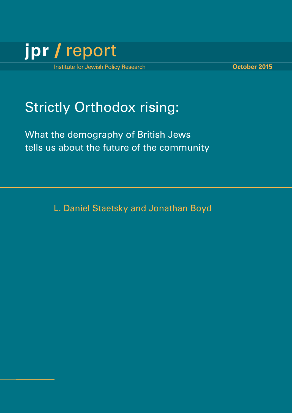

# **Strictly Orthodox rising:**

What the demography of British Jews tells us about the future of the community

L. Daniel Staetsky and Jonathan Boyd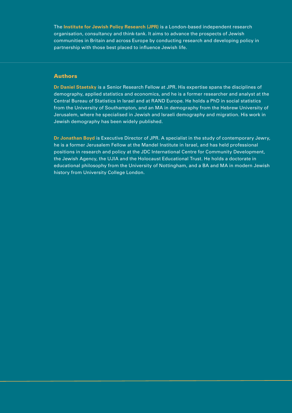The **Institute for Jewish Policy Research (JPR)** is a London-based independent research organisation, consultancy and think-tank. It aims to advance the prospects of Jewish communities in Britain and across Europe by conducting research and developing policy in partnership with those best placed to influence Jewish life.

#### **Authors**

**Dr Daniel Staetsky** is a Senior Research Fellow at JPR. His expertise spans the disciplines of demography, applied statistics and economics, and he is a former researcher and analyst at the Central Bureau of Statistics in Israel and at RAND Europe. He holds a PhD in social statistics from the University of Southampton, and an MA in demography from the Hebrew University of Jerusalem, where he specialised in Jewish and Israeli demography and migration. His work in Jewish demography has been widely published.

**Dr Jonathan Boyd** is Executive Director of JPR. A specialist in the study of contemporary Jewry, he is a former Jerusalem Fellow at the Mandel Institute in Israel, and has held professional positions in research and policy at the JDC International Centre for Community Development, the Jewish Agency, the UJIA and the Holocaust Educational Trust. He holds a doctorate in educational philosophy from the University of Nottingham, and a BA and MA in modern Jewish history from University College London.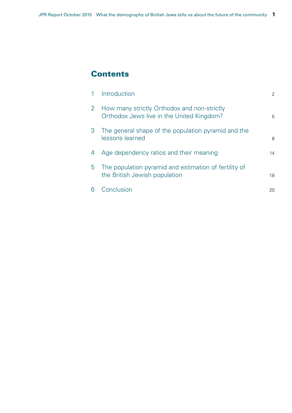### **Contents**

|                | Introduction                                                                             | 2  |
|----------------|------------------------------------------------------------------------------------------|----|
| $\overline{2}$ | How many strictly Orthodox and non-strictly<br>Orthodox Jews live in the United Kingdom? | 5  |
| 3              | The general shape of the population pyramid and the<br>lessons learned                   | 8  |
| 4              | Age dependency ratios and their meaning                                                  | 14 |
| 5.             | The population pyramid and estimation of fertility of<br>the British Jewish population   | 18 |
| 6              | Conclusion                                                                               | 20 |
|                |                                                                                          |    |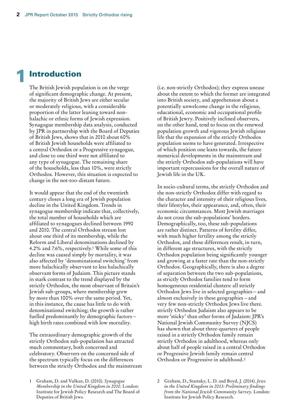### **Introduction**

The British Jewish population is on the verge of significant demographic change. At present, the majority of British Jews are either secular or moderately religious, with a considerable proportion of the latter leaning toward nonhalachic or ethnic forms of Jewish expression. Synagogue membership data analysis, conducted by JPR in partnership with the Board of Deputies of British Jews, shows that in 2010 about 60% of British Jewish households were affiliated to a central Orthodox or a Progressive synagogue, and close to one third were not affiliated to any type of synagogue. The remaining share of the households, less than 10%, were strictly Orthodox. However, this situation is expected to change in the not-too-distant future.

It would appear that the end of the twentieth century closes a long era of Jewish population decline in the United Kingdom. Trends in synagogue membership indicate that, collectively, the total number of households which are affiliated to synagogues declined between 1990 and 2010. The central Orthodox stream lost about one third of its membership, while the Reform and Liberal denominations declined by 4.2% and 7.6%, respectively.1 While some of this decline was caused simply by mortality, it was also affected by 'denominational switching' from more halachically observant to less halachically observant forms of Judaism. This picture stands in stark contrast to the trend displayed by the strictly Orthodox, the most observant of Britain's Jewish sub-groups, where membership grew by more than 100% over the same period. Yet, in this instance, the cause has little to do with denominational switching; the growth is rather fuelled predominantly by demographic factors – high birth rates combined with low mortality.

The extraordinary demographic growth of the strictly Orthodox sub-population has attracted much commentary, both concerned and celebratory. Observers on the concerned side of the spectrum typically focus on the differences between the strictly Orthodox and the mainstream (i.e. non-strictly Orthodox); they express unease about the extent to which the former are integrated into British society, and apprehension about a potentially unwelcome change in the religious, educational, economic and occupational profile of British Jewry. Positively inclined observers, on the other hand, tend to focus on the renewed population growth and vigorous Jewish religious life that the expansion of the strictly Orthodox population seems to have generated. Irrespective of which position one leans towards, the future numerical developments in the mainstream and the strictly Orthodox sub-populations will have important repercussions for the overall nature of Jewish life in the UK.

In socio-cultural terms, the strictly Orthodox and the non-strictly Orthodox differ with regard to the character and intensity of their religious lives, their lifestyles, their appearance, and, often, their economic circumstances. Most Jewish marriages do not cross the sub-populations' borders. Demographically, too, these sub-populations are rather distinct. Patterns of fertility differ, with much higher fertility among the strictly Orthodox, and these differences result, in turn, in different age structures, with the strictly Orthodox population being significantly younger and growing at a faster rate than the non-strictly Orthodox. Geographically, there is also a degree of separation between the two sub-populations, as strictly Orthodox families tend to form homogeneous residential clusters: all strictly Orthodox Jews live in selected geographies – and almost exclusively in these geographies – and very few non-strictly Orthodox Jews live there. strictly Orthodox Judaism also appears to be more 'sticky' than other forms of Judaism: JPR's National Jewish Community Survey (NJCS) has shown that about three-quarters of people raised in a strictly Orthodox family remain strictly Orthodox in adulthood, whereas only about half of people raised in a central Orthodox or Progressive Jewish family remain central Orthodox or Progressive in adulthood.2

<sup>1</sup> Graham, D. and Vulkan, D. (2010). *Synagogue Membership in the United Kingdom in 2010*. London: Institute for Jewish Policy Research and The Board of Deputies of British Jews.

<sup>2</sup> Graham, D., Staetsky, L. D. and Boyd, J. (2014). *Jews in the United Kingdom in 2013: Preliminary findings from the National Jewish Community Survey.* London: Institute for Jewish Policy Research.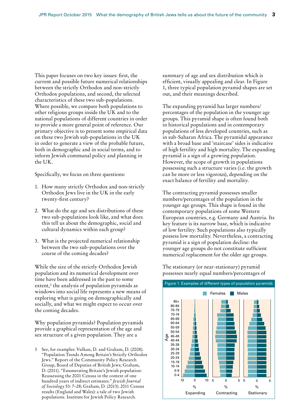This paper focuses on two key issues: first, the current and possible future numerical relationships between the strictly Orthodox and non-strictly Orthodox populations, and second, the selected characteristics of these two sub-populations. Where possible, we compare both populations to other religious groups inside the UK and to the national populations of different countries in order to provide a more general point of reference. Our primary objective is to present some empirical data on these two Jewish sub-populations in the UK in order to generate a view of the probable future, both in demographic and in social terms, and to inform Jewish communal policy and planning in the UK.

Specifically, we focus on three questions:

- 1. How many strictly Orthodox and non-strictly Orthodox Jews live in the UK in the early twenty-first century?
- 2. What do the age and sex distributions of these two sub-populations look like, and what does this tell us about the demographic, social and cultural dynamics within each group?
- 3. What is the projected numerical relationship between the two sub-populations over the course of the coming decades?

While the size of the strictly Orthodox Jewish population and its numerical development over time have been addressed in the past to some extent,<sup>3</sup> the analysis of population pyramids as windows into social life represents a new means of exploring what is going on demographically and socially, and what we might expect to occur over the coming decades.

Why population pyramids? Population pyramids provide a graphical representation of the age and sex structure of a given population. They are a

See, for examples: Vulkan, D. and Graham, D. (2008). "Population Trends Among Britain's Strictly Orthodox Jews." Report of the Community Policy Research Group, Board of Deputies of British Jews; Graham, D. (2011). "Enumerating Britain's Jewish population: Reassessing the 2001 Census in the context of one hundred years of indirect estimates." *Jewish Journal of Sociology* 53: 7–28; Graham, D. (2013). 2011 Census results (England and Wales): a tale of two Jewish populations. Institute for Jewish Policy Research.

summary of age and sex distribution which is efficient, visually appealing and clear. In Figure 1, three typical population pyramid shapes are set out, and their meanings described.

The expanding pyramid has larger numbers/ percentages of the population in the younger age groups. This pyramid shape is often found both in historical populations and in contemporary populations of less developed countries, such as in sub-Saharan Africa. The pyramidal appearance with a broad base and 'staircase' sides is indicative of high fertility and high mortality. The expanding pyramid is a sign of a growing population. However, the scope of growth in populations possessing such a structure varies (i.e. the growth can be more or less vigorous), depending on the exact balance of fertility and mortality.

The contracting pyramid possesses smaller numbers/percentages of the population in the younger age groups. This shape is found in the contemporary populations of some Western European countries, e.g. Germany and Austria. Its key feature is its narrow base, which is indicative of low fertility. Such populations also typically possess low mortality. Nevertheless, a contracting pyramid is a sign of population decline: the younger age groups do not constitute sufficient numerical replacement for the older age groups.

The stationary (or near-stationary) pyramid possesses nearly equal numbers/percentages of

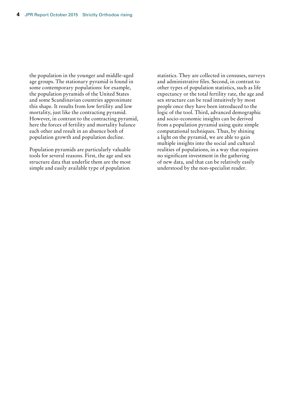the population in the younger and middle-aged age groups. The stationary pyramid is found in some contemporary populations: for example, the population pyramids of the United States and some Scandinavian countries approximate this shape. It results from low fertility and low mortality, just like the contracting pyramid. However, in contrast to the contracting pyramid, here the forces of fertility and mortality balance each other and result in an absence both of population growth and population decline.

Population pyramids are particularly valuable tools for several reasons. First, the age and sex structure data that underlie them are the most simple and easily available type of population

statistics. They are collected in censuses, surveys and administrative files. Second, in contrast to other types of population statistics, such as life expectancy or the total fertility rate, the age and sex structure can be read intuitively by most people once they have been introduced to the logic of the tool. Third, advanced demographic and socio-economic insights can be derived from a population pyramid using quite simple computational techniques. Thus, by shining a light on the pyramid, we are able to gain multiple insights into the social and cultural realities of populations, in a way that requires no significant investment in the gathering of new data, and that can be relatively easily understood by the non-specialist reader.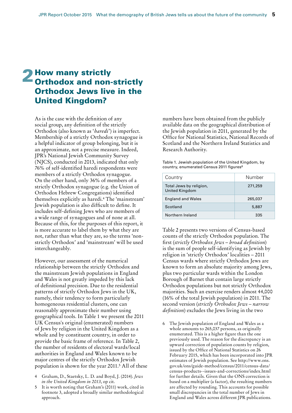# 2 How many strictly<br> **Orthodox and non-strictly** Orthodox Jews live in the United Kingdom?

As is the case with the definition of any social group, any definition of the strictly Orthodox (also known as '*haredi*') is imperfect. Membership of a strictly Orthodox synagogue is a helpful indicator of group belonging, but it is an approximate, not a precise measure. Indeed, JPR's National Jewish Community Survey (NJCS), conducted in 2013, indicated that only 76% of self-identified haredi respondents were members of a strictly Orthodox synagogue. On the other hand, only 36% of members of a strictly Orthodox synagogue (e.g. the Union of Orthodox Hebrew Congregations) identified themselves explicitly as haredi.4 The 'mainstream' Jewish population is also difficult to define. It includes self-defining Jews who are members of a wide range of synagogues and of none at all. Because of this, for the purposes of this report, it is more accurate to label them by what they are not, rather than what they are, so the terms 'nonstrictly Orthodox' and 'mainstream' will be used interchangeably.

However, our assessment of the numerical relationship between the strictly Orthodox and the mainstream Jewish populations in England and Wales is not greatly impeded by this lack of definitional precision. Due to the residential patterns of strictly Orthodox Jews in the UK, namely, their tendency to form particularly homogeneous residential clusters, one can reasonably approximate their number using geographical tools. In Table 1 we present the 2011 UK Census's original (enumerated) numbers of Jews by religion in the United Kingdom as a whole and by constituent country, in order to provide the basic frame of reference. In Table 2, the number of residents of electoral wards/local authorities in England and Wales known to be major centres of the strictly Orthodox Jewish population is shown for the year 2011.5 All of these

- 4 Graham, D., Staetsky, L. D. and Boyd, J. (2014). *Jews in the United Kingdom in 2013*, op cit.
- It is worth noting that Graham's (2011) work, cited in footnote 3, adopted a broadly similar methodological approach.

numbers have been obtained from the publicly available data on the geographical distribution of the Jewish population in 2011, generated by the Office for National Statistics, National Records of Scotland and the Northern Ireland Statistics and Research Authority.

Table 1. Jewish population of the United Kingdom, by country, enumerated Census 2011 figures6

| Country                                   | Number  |
|-------------------------------------------|---------|
| Total Jews by religion,<br>United Kingdom | 271,259 |
| <b>England and Wales</b>                  | 265,037 |
| Scotland                                  | 5,887   |
| Northern Ireland                          | 335     |

Table 2 presents two versions of Census-based counts of the strictly Orthodox population. The first (*strictly Orthodox Jews – broad definition*) is the sum of people self-identifying as Jewish by religion in 'strictly Orthodox' localities – 2011 Census wards where strictly Orthodox Jews are known to form an absolute majority among Jews, plus two particular wards within the London Borough of Barnet that contain large strictly Orthodox populations but not strictly Orthodox majorities. Such an exercise renders almost 44,000 (16% of the total Jewish population) in 2011. The second version (*strictly Orthodox Jews – narrow definition*) excludes the Jews living in the two

6 The Jewish population of England and Wales as a whole amounts to 265,037 persons, as originally enumerated. This is a higher figure than the one previously used. The reason for the discrepancy is an upward correction of population counts by religion, issued by the Office of National Statistics on 26 February 2015, which has been incorporated into JPR estimates of Jewish population. See http://www.ons. gov.uk/ons/guide-method/census/2011/census-data/ census-products--issues-and-corrections/index.html for further details. Given that the ONS correction is based on a multiplier (a factor), the resulting numbers are affected by rounding. This accounts for possible small discrepancies in the total number of Jews in England and Wales across different JPR publications.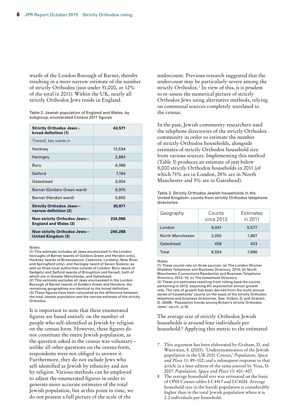wards of the London Borough of Barnet, thereby resulting in a more narrow estimate of the number of strictly Orthodox (just under 31,000, or 12% of the total in 2011). Within the UK, nearly all strictly Orthodox Jews reside in England.

Table 2. Jewish population of England and Wales, by subgroup, enumerated Census 2011 figures

| <b>Strictly Orthodox Jews-</b><br>broad definition (1)      | 43,571  |
|-------------------------------------------------------------|---------|
| Thereof, key wards in                                       |         |
| Hackney                                                     | 13,534  |
| Haringey                                                    | 2,883   |
| Bury                                                        | 4,386   |
| Salford                                                     | 7.164   |
| Gateshead                                                   | 3,004   |
| Barnet (Golders Green ward)                                 | 6,975   |
| Barnet (Hendon ward)                                        | 5,805   |
| <b>Strictly Orthodox Jews-</b><br>narrow definition (2)     | 30,971  |
| Non-strictly Orthodox Jews-<br><b>England and Wales (3)</b> | 234,066 |
| Non-strictly Orthodox Jews-<br>United Kingdom (3)           | 240,288 |

#### Notes:

(1) This estimate includes all Jews enumerated in the London boroughs of Barnet (wards of Golders Green and Hendon only), Hackney (wards of Brownswood, Cazenove, Lordship, New River, and Springfield only), and Haringey (ward of Seven Sisters), as well as three local authorities outside of London: Bury (ward of Sedgely) and Salford (wards of Broughton and Kersal), both of which are in Greater Manchester, and Gateshead. (2) This estimate excludes all Jews enumerated in the London Borough of Barnet (wards of Golders Green and Hendon); the remaining geographies are identical to the broad definition. (3) These figures have been calculated as the difference between the total Jewish population and the narrow estimate of the strictly Orthodox.

It is important to note that these enumerated figures are based entirely on the number of people who self-identified as Jewish by religion on the census form. However, these figures do not constitute the entire Jewish population, as the question asked in the census was voluntary– unlike all other questions on the census form, respondents were not obliged to answer it. Furthermore, they do not include Jews who self-identified as Jewish by ethnicity and not by religion. Various methods can be employed to adjust the enumerated figures in order to generate more accurate estimates of the total Jewish population, but at this point in time, we do not possess a full picture of the scale of the

undercount. Previous research suggested that the undercount may be particularly severe among the strictly Orthodox.7 In view of this, it is prudent to re-assess the numerical picture of strictly Orthodox Jews using alternative methods, relying on communal sources completely unrelated to the census.

In the past, Jewish community researchers used the telephone directories of the strictly Orthodox community in order to estimate the number of strictly Orthodox households, alongside estimates of strictly Orthodox household size from various sources. Implementing this method (Table 3) produces an estimate of just below 8,000 strictly Orthodox households in 2011 (of which 71% are in London, 24% are in North Manchester and 5% are in Gateshead).

Table 3. Strictly Orthodox Jewish households in the United Kingdom: counts from strictly Orthodox telephone directories

| Geography        | Counts<br>circa 2013 | Estimates<br>in 2011 |
|------------------|----------------------|----------------------|
| London           | 6,041                | 5,577                |
| North Manchester | 2.055                | 1,897                |
| Gateshead        | 458                  | 423                  |
| Total            | 8,554                | 7,896                |

Notes:

(1) These counts rely on three sources: (a) The London Shomer Shabbos Telephone and Business Directory, 2014; (b) North Manchester Connections Residential and Business Telephone Directory, 2013–14; (c) The Gateshead Directory. (2) These are estimates resulting from rolling back the counts pertaining to 2013, assuming 4% exponential annual growth rate. The rate of growth has been derived from the multi-annual series of households' counts on the basis of the strictly Orthodox telephone and business directories. See: Vulkan, D, and Graham, D. (2008). 'Population trends among Britain's strictly Orthodox Jews,' op.cit., p.16.

The average size of strictly Orthodox Jewish households is around four individuals per household.8 Applying this metric to the estimated

- 7 This argument has been elaborated by Graham, D. and Waterman, S. (2005). 'Underenumeration of the Jewish population in the UK 2001 Census,' *Population, Space and Place* 11: 89–102; and a subsequent response to that article in a later edition of the same journal by Voas, D. 2007. *Population, Space and Place* 13: 401–407.
- 8 The average household size was estimated on the basis of ONS Census tables LC4417 and LC4024. Average household size in the haredi population is considerably higher than in the total Jewish population where it is 2.2 individuals per household.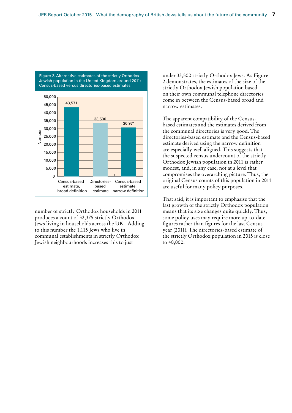

Figure 2. Alternative estimates of the strictly Orthodox Jewish population in the United Kingdom around 2011: Census-based versus directories-based estimates

number of strictly Orthodox households in 2011 produces a count of 32,375 strictly Orthodox Jews living in households across the UK. Adding to this number the 1,115 Jews who live in communal establishments in strictly Orthodox Jewish neighbourhoods increases this to just

under 33,500 strictly Orthodox Jews. As Figure 2 demonstrates, the estimates of the size of the strictly Orthodox Jewish population based on their own communal telephone directories come in between the Census-based broad and narrow estimates.

The apparent compatibility of the Censusbased estimates and the estimates derived from the communal directories is very good. The directories-based estimate and the Census-based estimate derived using the narrow definition are especially well aligned. This suggests that the suspected census undercount of the strictly Orthodox Jewish population in 2011 is rather modest, and, in any case, not at a level that compromises the overarching picture. Thus, the original Census counts of this population in 2011 are useful for many policy purposes.

That said, it is important to emphasise that the fast growth of the strictly Orthodox population means that its size changes quite quickly. Thus, some policy uses may require more up-to-date figures rather than figures for the last Census year (2011). The directories-based estimate of the strictly Orthodox population in 2015 is close to 40,000.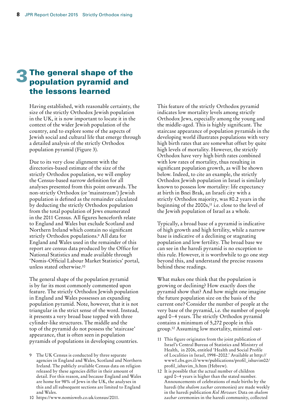## 3 The general shape of the population pyramid and the lessons learned

Having established, with reasonable certainty, the size of the strictly Orthodox Jewish population in the UK, it is now important to locate it in the context of the wider Jewish population of the country, and to explore some of the aspects of Jewish social and cultural life that emerge through a detailed analysis of the strictly Orthodox population pyramid (Figure 3).

Due to its very close alignment with the directories-based estimate of the size of the strictly Orthodox population, we will employ the Census-based narrow definition for all analyses presented from this point onwards. The non-strictly Orthodox (or 'mainstream') Jewish population is defined as the remainder calculated by deducting the strictly Orthodox population from the total population of Jews enumerated in the 2011 Census. All figures henceforth relate to England and Wales but exclude Scotland and Northern Ireland which contain no significant strictly Orthodox populations.9 All data for England and Wales used in the remainder of this report are census data produced by the Office for National Statistics and made available through 'Nomis-Official Labour Market Statistics' portal, unless stated otherwise.10

The general shape of the population pyramid is by far its most commonly commented upon feature. The strictly Orthodox Jewish population in England and Wales possesses an expanding population pyramid. Note, however, that it is not triangular in the strict sense of the word. Instead, it presents a very broad base topped with three cylinder-like structures. The middle and the top of the pyramid do not possess the 'staircase' appearance, that is often seen in population pyramids of populations in developing countries.

9 The UK Census is conducted by three separate agencies in England and Wales, Scotland and Northern Ireland. The publicly available Census data on religion released by these agencies differ in their amount of detail. For this reason, and because England and Wales are home for 98% of Jews in the UK, the analyses in this and all subsequent sections are limited to England and Wales.

10 https://www.nomisweb.co.uk/census/2011.

This feature of the strictly Orthodox pyramid indicates low mortality levels among strictly Orthodox Jews, especially among the young and the middle-aged. This is highly significant. The staircase appearance of population pyramids in the developing world illustrates populations with very high birth rates that are somewhat offset by quite high levels of mortality. However, the strictly Orthodox have very high birth rates combined with low rates of mortality, thus resulting in significant population growth, as will be shown below. Indeed, to cite an example, the strictly Orthodox Jewish population in Israel is similarly known to possess low mortality: life expectancy at birth in Bnei Brak, an Israeli city with a strictly Orthodox majority, was 80.2 years in the beginning of the 2000s,<sup>11</sup> i.e. close to the level of the Jewish population of Israel as a whole.

Typically, a broad base of a pyramid is indicative of high growth and high fertility, while a narrow base is indicative of a declining or stagnating population and low fertility. The broad base we can see in the haredi pyramid is no exception to this rule. However, it is worthwhile to go one step beyond this, and understand the precise reasons behind these readings.

What makes one think that the population is growing or declining? How exactly does the pyramid show that? And how might one imagine the future population size on the basis of the current one? Consider the number of people at the very base of the pyramid, i.e. the number of people aged 0–4 years. The strictly Orthodox pyramid contains a minimum of 5,272 people in this group.12 Assuming low mortality, minimal out-

- 11 This figure originates from the joint publication of Israel's Central Bureau of Statistics and Ministry of Health, in 2006, entitled 'Health and Social Profile of Localities in Israel, 1998–2002.' Available at http:// www1.cbs.gov.il/www/publications/profil\_ishuvim02/ profil\_ishuvim\_h.htm (Hebrew).
- 12 It is possible that the actual number of children aged 0–4 years is higher than the stated number. Announcements of celebrations of male births by the haredi (the *shalom zachar* ceremonies) are made weekly in the haredi publication *Kol Mevaser*. Data on *shalom zachar* ceremonies in the haredi community, collected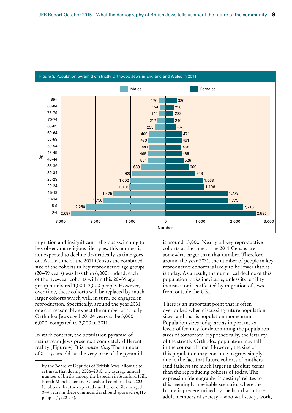

migration and insignificant religious switching to less observant religious lifestyles, this number is not expected to decline dramatically as time goes on. At the time of the 2011 Census the combined size of the cohorts in key reproductive age groups (20–39 years) was less than 6,000. Indeed, each of the five-year cohorts within this 20–39 age group numbered 1,000–2,000 people. However, over time, these cohorts will be replaced by much larger cohorts which will, in turn, be engaged in reproduction. Specifically, around the year 2031, one can reasonably expect the number of strictly Orthodox Jews aged 20–24 years to be 5,000– 6,000, compared to 2,000 in 2011.

In stark contrast, the population pyramid of mainstream Jews presents a completely different reality (Figure 4). It is *contracting*. The number of 0–4 years olds at the very base of the pyramid is around 13,000. Nearly all key reproductive cohorts at the time of the 2011 Census are somewhat larger than that number. Therefore, around the year 2031, the number of people in key reproductive cohorts is likely to be lower than it is today. As a result, the numerical decline of this population looks inevitable, unless its fertility increases or it is affected by migration of Jews from outside the UK.

There is an important point that is often overlooked when discussing future population sizes, and that is population momentum. Population sizes today are as important as levels of fertility for determining the population sizes of tomorrow. Hypothetically, the fertility of the strictly Orthodox population may fall in the course of time. However, the size of this population may continue to grow simply due to the fact that future cohorts of mothers (and fathers) are much larger in absolute terms than the reproducing cohorts of today. The expression 'demography is destiny' relates to this seemingly inevitable scenario, where the future is predetermined by the fact that future adult members of society – who will study, work,

by the Board of Deputies of British Jews, allow us to estimate that during 2006–2010, the average annual number of births among the haredim in Stamford Hill, North Manchester and Gateshead combined is 1,222. It follows that the expected number of children aged 0–4 years in these communities should approach 6,110 people (1,222 x 5).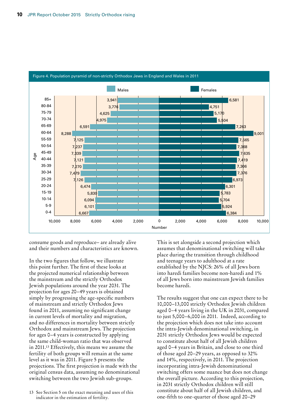

consume goods and reproduce– are already alive and their numbers and characteristics are known.

In the two figures that follow, we illustrate this point further. The first of these looks at the projected numerical relationship between the mainstream and the strictly Orthodox Jewish populations around the year 2031. The projection for ages 20–49 years is obtained simply by progressing the age-specific numbers of mainstream and strictly Orthodox Jews found in 2011, assuming no significant change in current levels of mortality and migration, and no differences in mortality between strictly Orthodox and mainstream Jews. The projection for ages 0–4 years is constructed by applying the same child-woman ratio that was observed in 2011.13 Effectively, this means we assume the fertility of both groups will remain at the same level as it was in 2011. Figure 5 presents the projections. The first projection is made with the original census data, assuming no denominational switching between the two Jewish sub-groups.

This is set alongside a second projection which assumes that denominational switching will take place during the transition through childhood and teenage years to adulthood at a rate established by the NJCS: 26% of all Jews born into haredi families become non-haredi and 1% of all Jews born into mainstream Jewish families become haredi.

The results suggest that one can expect there to be 10,000–13,000 strictly Orthodox Jewish children aged 0–4 years living in the UK in 2031, compared to just 5,000–6,000 in 2011. Indeed, according to the projection which does not take into account the intra-Jewish denominational switching, in 2031 strictly Orthodox Jews would be expected to constitute about half of all Jewish children aged 0–4 years in Britain, and close to one third of those aged 20–29 years, as opposed to 32% and 14%, respectively, in 2011. The projection incorporating intra-Jewish denominational switching offers some nuance but does not change the overall picture. According to this projection, in 2031 strictly Orthodox children will still constitute about half of all Jewish children, and one-fifth to one-quarter of those aged 20–29

<sup>13</sup> See Section 5 on the exact meaning and uses of this indicator in the estimation of fertility.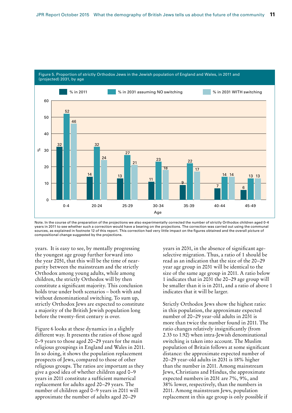

Note. In the course of the preparation of the projections we also experimentally corrected the number of strictly Orthodox children aged 0-4 years in 2011 to see whether such a correction would have a bearing on the projections. The correction was carried out using the communal sources, as explained in footnote 12 of this report. This correction had very little impact on the figures obtained and the overall picture of compositional change suggested by the projections.

years. It is easy to see, by mentally progressing the youngest age group further forward into the year 2051, that this will be the time of nearparity between the mainstream and the strictly Orthodox among young adults, while among children, the strictly Orthodox will by then constitute a significant majority. This conclusion holds true under both scenarios – both with and without denominational switching. To sum up, strictly Orthodox Jews are expected to constitute a majority of the British Jewish population long before the twenty-first century is over.

Figure 6 looks at these dynamics in a slightly different way. It presents the ratios of those aged 0–9 years to those aged 20–29 years for the main religious groupings in England and Wales in 2011. In so doing, it shows the population replacement prospects of Jews, compared to those of other religious groups. The ratios are important as they give a good idea of whether children aged 0–9 years in 2011 constitute a sufficient numerical replacement for adults aged 20–29 years. The number of children aged 0–9 years in 2011 will approximate the number of adults aged 20–29

years in 2031, in the absence of significant ageselective migration. Thus, a ratio of 1 should be read as an indication that the size of the 20–29 year age group in 2031 will be identical to the size of the same age group in 2011. A ratio below 1 indicates that in 2031 the 20–29 age group will be smaller than it is in 2011, and a ratio of above 1 indicates that it will be larger.

Strictly Orthodox Jews show the highest ratio: in this population, the approximate expected number of 20–29 year-old adults in 2031 is more than twice the number found in 2011. The ratio changes relatively insignificantly (from 2.33 to 1.92) when intra-Jewish denominational switching is taken into account. The Muslim population of Britain follows at some significant distance: the approximate expected number of 20–29 year-old adults in 2031 is 18% higher than the number in 2011. Among mainstream Jews, Christians and Hindus, the approximate expected numbers in 2031 are 7%, 9%, and 38% lower, respectively, than the numbers in 2011. Among mainstream Jews, population replacement in this age group is only possible if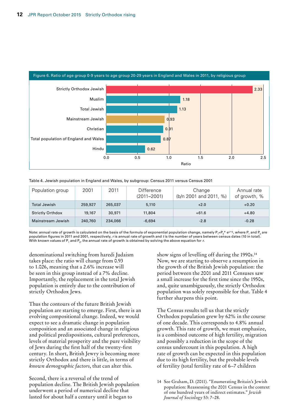

|  | Table 4. Jewish population in England and Wales, by subgroup: Census 2011 versus Census 2001 |  |  |
|--|----------------------------------------------------------------------------------------------|--|--|
|  |                                                                                              |  |  |

| Population group        | 2001    | 2011    | <b>Difference</b><br>$(2011 - 2001)$ | Change<br>(b/n 2001 and 2011, %) | Annual rate<br>of growth, % |
|-------------------------|---------|---------|--------------------------------------|----------------------------------|-----------------------------|
| <b>Total Jewish</b>     | 259,927 | 265,037 | 5,110                                | $+2.0$                           | $+0.20$                     |
| <b>Strictly Orthdox</b> | 19,167  | 30,971  | 11,804                               | $+61.6$                          | $+4.80$                     |
| Mainstream Jewish       | 240,760 | 234,066 | $-6.694$                             | $-2.8$                           | $-0.28$                     |

Note: annual rate of growth is calculated on the basis of the formula of exponential population change, namely  ${\sf P}_i$ =P $^{\rm e}_0$ \* e<sup>(</sup>/\*\*), where  ${\sf P}_i$  and  ${\sf P}_0$  are population figures in 2011 and 2001, respectively, *r* is annual rate of growth and *t* is the number of years between census dates (10 in total). With known values of  $\mathsf{P}_1$  and  $\mathsf{P}_o$ , the annual rate of growth is obtained by solving the above equation for  $r$ .

denominational switching from haredi Judaism takes place: the ratio will change from 0.93 to 1.026, meaning that a 2.6% increase will be seen in this group instead of a 7% decline. Importantly, the replacement in the total Jewish population is entirely due to the contribution of strictly Orthodox Jews.

Thus the contours of the future British Jewish population are starting to emerge. First, there is an evolving compositional change. Indeed, we would expect to see a dramatic change in population composition and an associated change in religious and political predispositions, cultural preferences, levels of material prosperity and the pure visibility of Jews during the first half of the twenty-first century. In short, British Jewry is becoming more strictly Orthodox and there is little, in terms of *known demographic factors*, that can alter this.

Second, there is a reversal of the trend of population decline. The British Jewish population underwent a period of numerical decline that lasted for about half a century until it began to

show signs of levelling off during the 1990s.14 Now, we are starting to observe a resumption in the growth of the British Jewish population: the period between the 2001 and 2011 Censuses saw a small increase for the first time since the 1950s, and, quite unambiguously, the strictly Orthodox population was solely responsible for that. Table 4 further sharpens this point.

The Census results tell us that the strictly Orthodox population grew by 62% in the course of one decade. This corresponds to 4.8% annual growth. This rate of growth, we must emphasize, is a combined outcome of high fertility, migration and possibly a reduction in the scope of the census undercount in this population. A high rate of growth can be expected in this population due to its high fertility, but the probable levels of fertility (total fertility rate of 6–7 children

<sup>14</sup> See Graham, D. (2011). "Enumerating Britain's Jewish population: Reassessing the 2001 Census in the context of one hundred years of indirect estimates." *Jewish Journal of Sociology* 53: 7–28.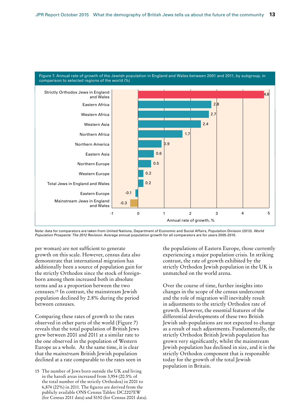

Note: data for comparators are taken from United Nations, Department of Economic and Social Affairs, Population Division (2013). *World Population Prospects: The 2012 Revision*. Average annual population growth for all comparators are for years 2005-2010.

per woman) are not sufficient to generate growth on this scale. However, census data also demonstrate that international migration has additionally been a source of population gain for the strictly Orthodox since the stock of foreignborn among them increased both in absolute terms and as a proportion between the two censuses.15 In contrast, the mainstream Jewish population declined by 2.8% during the period between censuses.

Comparing these rates of growth to the rates observed in other parts of the world (Figure 7) reveals that the total population of British Jews grew between 2001 and 2011 at a similar rate to the one observed in the population of Western Europe as a whole. At the same time, it is clear that the *mainstream* British Jewish population declined at a rate comparable to the rates seen in

15 The number of Jews born outside the UK and living in the haredi areas increased from 3,954 (20.5% of the total number of the strictly Orthodox) in 2001 to 6,874 (22%) in 2011. The figures are derived from the publicly available ONS Census Tables: DC2207EW (for Census 2011 data) and S150 (for Census 2001 data). the populations of Eastern Europe, those currently experiencing a major population crisis. In striking contrast, the rate of growth exhibited by the strictly Orthodox Jewish population in the UK is unmatched on the world arena.

Over the course of time, further insights into changes in the scope of the census undercount and the role of migration will inevitably result in adjustments to the strictly Orthodox rate of growth. However, the essential features of the differential developments of these two British Jewish sub-populations are not expected to change as a result of such adjustments. Fundamentally, the strictly Orthodox British Jewish population has grown very significantly, whilst the mainstream Jewish population has declined in size, and it is the strictly Orthodox component that is responsible today for the growth of the total Jewish population in Britain.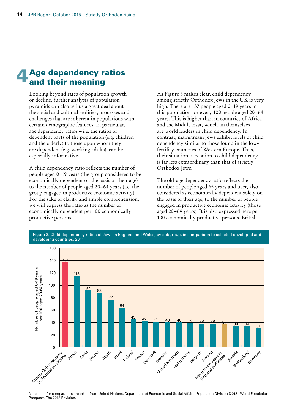## Age dependency ratios and their meaning

Looking beyond rates of population growth or decline, further analysis of population pyramids can also tell us a great deal about the social and cultural realities, processes and challenges that are inherent in populations with certain demographic features. In particular, age dependency ratios – i.e. the ratios of dependent parts of the population (e.g. children and the elderly) to those upon whom they are dependent (e.g. working adults), can be especially informative.

A child dependency ratio reflects the number of people aged 0–19 years (the group considered to be economically dependent on the basis of their age) to the number of people aged 20–64 years (i.e. the group engaged in productive economic activity). For the sake of clarity and simple comprehension, we will express the ratio as the number of economically dependent per 100 economically productive persons.

As Figure 8 makes clear, child dependency among strictly Orthodox Jews in the UK is very high. There are 137 people aged 0–19 years in this population for every 100 people aged 20–64 years. This is higher than in countries of Africa and the Middle East, which, in themselves, are world leaders in child dependency. In contrast, mainstream Jews exhibit levels of child dependency similar to those found in the lowfertility countries of Western Europe. Thus, their situation in relation to child dependency is far less extraordinary than that of strictly Orthodox Jews.

The old-age dependency ratio reflects the number of people aged 65 years and over, also considered as economically dependent solely on the basis of their age, to the number of people engaged in productive economic activity (those aged 20–64 years). It is also expressed here per 100 economically productive persons. British



Figure 8. Child dependency ratios of Jews in England and Wales, by subgroup, in comparison to selected developed and

Note: data for comparators are taken from United Nations, Department of Economic and Social Affairs, Population Division (2013). World Population Prospects: The 2012 Revision.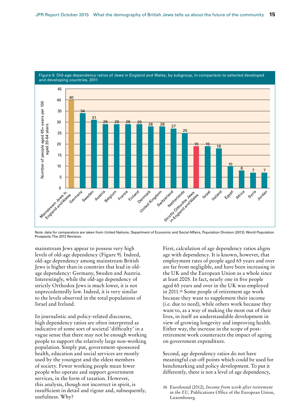

Figure 9. Old-age dependency ratios of Jews in England and Wales, by subgroup, in comparison to selected developed and developing countries, 2011

Note: data for comparators are taken from United Nations, Department of Economic and Social Affairs, Population Division (2013). World Population Prospects: The 2012 Revision.

mainstream Jews appear to possess very high levels of old-age dependency (Figure 9). Indeed, old-age dependency among mainstream British Jews is higher than in countries that lead in oldage dependency: Germany, Sweden and Austria. Interestingly, while the old-age dependency of strictly Orthodox Jews is much lower, it is not unprecedentedly low. Indeed, it is very similar to the levels observed in the total populations of Israel and Ireland.

In journalistic and policy-related discourse, high dependency ratios are often interpreted as indicative of some sort of societal 'difficulty' in a vague sense that there may not be enough working people to support the relatively large non-working population. Simply put, government-sponsored health, education and social services are mostly used by the youngest and the eldest members of society. Fewer working people mean fewer people who operate and support government services, in the form of taxation. However, this analysis, though not incorrect in spirit, is insufficient in detail and rigour and, subsequently, usefulness. Why?

First, calculation of age dependency ratios aligns age with dependency. It is known, however, that employment rates of people aged 65 years and over are far from negligible, and have been increasing in the UK and the European Union as a whole since at least 2005. In fact, nearly one in five people aged 65 years and over in the UK was employed in 2011.16 Some people of retirement age work because they want to supplement their income (i.e. due to need), while others work because they want to, as a way of making the most out of their lives, in itself an understandable development in view of growing longevity and improving health. Either way, the increase in the scope of postretirement work counteracts the impact of ageing on government expenditure.

Second, age dependency ratios do not have meaningful cut-off points which could be used for benchmarking and policy development. To put it differently, there is not a level of age dependency,

<sup>16</sup> Eurofound (2012), *Income from work after retirement in the EU,* Publications Office of the European Union, Luxembourg.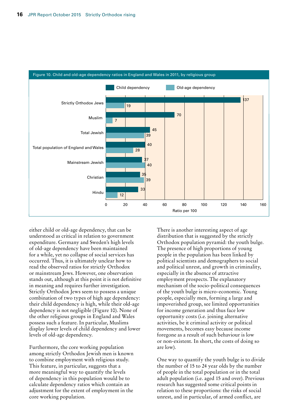

either child or old-age dependency, that can be understood as critical in relation to government expenditure. Germany and Sweden's high levels of old-age dependency have been maintained for a while, yet no collapse of social services has occurred. Thus, it is ultimately unclear how to read the observed ratios for strictly Orthodox or mainstream Jews. However, one observation stands out, although at this point it is not definitive in meaning and requires further investigation. Strictly Orthodox Jews seem to possess a unique combination of two types of high age dependency: their child dependency is high, while their old-age dependency is not negligible (Figure 10). None of the other religious groups in England and Wales possess such a feature. In particular, Muslims display lower levels of child dependency and lower levels of old-age dependency.

Furthermore, the core working population among strictly Orthodox Jewish men is known to combine employment with religious study. This feature, in particular, suggests that a more meaningful way to quantify the levels of dependency in this population would be to calculate dependency ratios which contain an adjustment for the extent of employment in the core working population.

There is another interesting aspect of age distribution that is suggested by the strictly Orthodox population pyramid: the youth bulge. The presence of high proportions of young people in the population has been linked by political scientists and demographers to social and political unrest, and growth in criminality, especially in the absence of attractive employment prospects. The explanatory mechanism of the socio-political consequences of the youth bulge is micro-economic. Young people, especially men, forming a large and impoverished group, see limited opportunities for income generation and thus face low opportunity costs (i.e. joining alternative activities, be it criminal activity or political movements, becomes easy because income foregone as a result of such behaviour is low or non-existent. In short, the costs of doing so are low).

One way to quantify the youth bulge is to divide the number of 15 to 24 year olds by the number of people in the total population or in the total adult population (i.e. aged 15 and over). Previous research has suggested some critical points in relation to these proportions: the risks of social unrest, and in particular, of armed conflict, are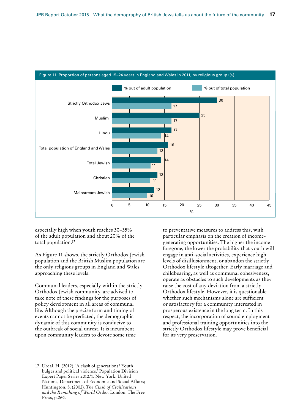

Figure 11. Proportion of persons aged 15–24 years in England and Wales in 2011, by religious group (%)

especially high when youth reaches 30–35% of the adult population and about 20% of the total population.17

As Figure 11 shows, the strictly Orthodox Jewish population and the British Muslim population are the only religious groups in England and Wales approaching these levels.

Communal leaders, especially within the strictly Orthodox Jewish community, are advised to take note of these findings for the purposes of policy development in all areas of communal life. Although the precise form and timing of events cannot be predicted, the demographic dynamic of this community is conducive to the outbreak of social unrest. It is incumbent upon community leaders to devote some time

17 Urdal, H. (2012). 'A clash of generations? Youth bulges and political violence.' Population Division Expert Paper Series 2012/1. New York: United Nations, Department of Economic and Social Affairs; Huntington, S. (2002). *The Clash of Civilizations and the Remaking of World Order.* London: The Free Press, p.260.

to preventative measures to address this, with particular emphasis on the creation of incomegenerating opportunities. The higher the income foregone, the lower the probability that youth will engage in anti-social activities, experience high levels of disillusionment, or abandon the strictly Orthodox lifestyle altogether. Early marriage and childbearing, as well as communal cohesiveness, operate as obstacles to such developments as they raise the cost of any deviation from a strictly Orthodox lifestyle. However, it is questionable whether such mechanisms alone are sufficient or satisfactory for a community interested in prosperous existence in the long term. In this respect, the incorporation of sound employment and professional training opportunities into the strictly Orthodox lifestyle may prove beneficial for its very preservation.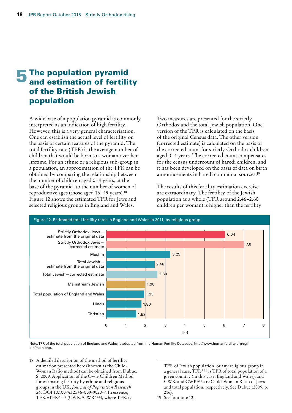## **5** The population pyramid and estimation of fertility of the British Jewish population

A wide base of a population pyramid is commonly interpreted as an indication of high fertility. However, this is a very general characterisation. One can establish the actual level of fertility on the basis of certain features of the pyramid. The total fertility rate (TFR) is the average number of children that would be born to a woman over her lifetime. For an ethnic or a religious sub-group in a population, an approximation of the TFR can be obtained by comparing the relationship between the number of children aged 0–4 years, at the base of the pyramid, to the number of women of reproductive ages (those aged 15–49 years).18 Figure 12 shows the estimated TFR for Jews and selected religious groups in England and Wales.

Two measures are presented for the strictly Orthodox and the total Jewish population. One version of the TFR is calculated on the basis of the original Census data. The other version (corrected estimate) is calculated on the basis of the corrected count for strictly Orthodox children aged 0–4 years. The corrected count compensates for the census undercount of haredi children, and it has been developed on the basis of data on birth announcements in haredi communal sources.19

The results of this fertility estimation exercise are extraordinary. The fertility of the Jewish population as a whole (TFR around 2.46–2.60 children per woman) is higher than the fertility



Note: TFR of the total population of England and Wales is adopted from the Human Fertility Database, http://www.humanfertility.org/cgibin/main.php.

18 A detailed description of the method of fertility estimation presented here (known as the Child-Woman Ratio method) can be obtained from Dubuc, S. 2009. Application of the Own-Children Method for estimating fertility by ethnic and religious groups in the UK, *Journal of Population Research 26,* DOI 10.1007/s12546-009-9020-7. In essence, TFRJ=TFRALL\* (CWRJ /CWRALL), where TFRJ is

TFR of Jewish population, or any religious group in a general case, TFRALL is TFR of total population of a given country (in this case, England and Wales), and CWRJ and CWRALL are Child-Woman Ratio of Jews and total population, respectively. See Dubuc (2009, p. 216).

19 See footnote 12.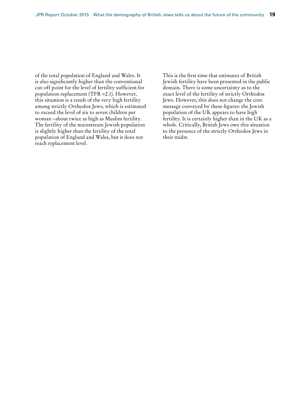of the total population of England and Wales. It is also significantly higher than the conventional cut-off point for the level of fertility sufficient for population replacement (TFR =2.1). However, this situation is a result of the very high fertility among strictly Orthodox Jews, which is estimated to exceed the level of six to seven children per woman –about twice as high as Muslim fertility. The fertility of the mainstream Jewish population is slightly higher than the fertility of the total population of England and Wales, but it does not reach replacement level.

This is the first time that estimates of British Jewish fertility have been presented in the public domain. There is some uncertainty as to the exact level of the fertility of strictly Orthodox Jews. However, this does not change the core message conveyed by these figures: the Jewish population of the UK appears to have high fertility. It is certainly higher than in the UK as a whole. Critically, British Jews owe this situation to the presence of the strictly Orthodox Jews in their midst.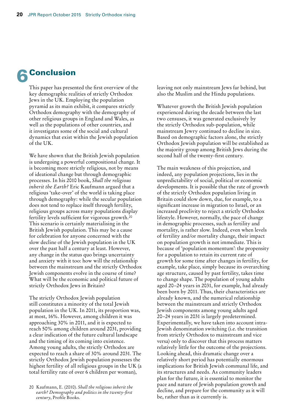## **Conclusion**

This paper has presented the first overview of the key demographic realities of strictly Orthodox Jews in the UK. Employing the population pyramid as its main exhibit, it compares strictly Orthodox demography with the demography of other religious groups in England and Wales, as well as the populations of other countries, and it investigates some of the social and cultural dynamics that exist within the Jewish population of the UK.

We have shown that the British Jewish population is undergoing a powerful compositional change. It is becoming more strictly religious, not by means of ideational change but through demographic processes. In his 2010 book, *Shall the religious inherit the Earth?* Eric Kaufmann argued that a religious 'take-over' of the world is taking place through demography: while the secular population does not tend to replace itself through fertility, religious groups across many populations display fertility levels sufficient for vigorous growth.20 This scenario is certainly materialising in the British Jewish population. This may be a cause for celebration for anyone concerned with the slow decline of the Jewish population in the UK over the past half a century at least. However, any change in the status quo brings uncertainty and anxiety with it too: how will the relationship between the mainstream and the strictly Orthodox Jewish components evolve in the course of time? What will be the economic and political future of strictly Orthodox Jews in Britain?

The strictly Orthodox Jewish population still constitutes a minority of the total Jewish population in the UK. In 2011, its proportion was, at most, 16%. However, among children it was approaching 30% in 2011, and it is expected to reach 50% among children around 2031, providing a clear indication of the future cultural landscape and the timing of its coming into existence. Among young adults, the strictly Orthodox are expected to reach a share of 30% around 2031. The strictly Orthodox Jewish population possesses the highest fertility of all religious groups in the UK (a total fertility rate of over 6 children per woman),

leaving not only mainstream Jews far behind, but also the Muslim and the Hindu populations.

Whatever growth the British Jewish population experienced during the decade between the last two censuses, it was generated exclusively by the strictly Orthodox sub-population, while mainstream Jewry continued to decline in size. Based on demographic factors alone, the strictly Orthodox Jewish population will be established as the majority group among British Jews during the second half of the twenty-first century.

The main weakness of this projection, and indeed, any population projections, lies in the unpredictability of social, political or economic developments. It is possible that the rate of growth of the strictly Orthodox population living in Britain could slow down, due, for example, to a significant increase in migration to Israel, or an increased proclivity to reject a strictly Orthodox lifestyle. However, normally, the pace of change in demographic processes, such as fertility and mortality, is rather slow. Indeed, even when levels of fertility and/or mortality change, their impact on population growth is not immediate. This is because of 'population momentum': the propensity for a population to retain its current rate of growth for some time after changes in fertility, for example, take place, simply because its overarching age structure, caused by past fertility, takes time to change shape. The population of young adults aged 20–24 years in 2031, for example, had already been born by 2011. Thus, their characteristics are already known, and the numerical relationship between the mainstream and strictly Orthodox Jewish components among young adults aged 20–24 years in 2031 is largely predetermined. Experimentally, we have taken into account intra-Jewish denomination switching (i.e. the transition from strictly Orthodox to mainstream and vice versa) only to discover that this process matters relatively little for the outcome of the projections. Looking ahead, this dramatic change over a relatively short period has potentially enormous implications for British Jewish communal life, and its structures and needs. As community leaders plan for the future, it is essential to monitor the pace and nature of Jewish population growth and decline, and prepare for the community as it will be, rather than as it currently is.

<sup>20</sup> Kaufmann, E. (2010). *Shall the religious inherit the earth? Demography and politics in the twenty-first century*, Profile Books.